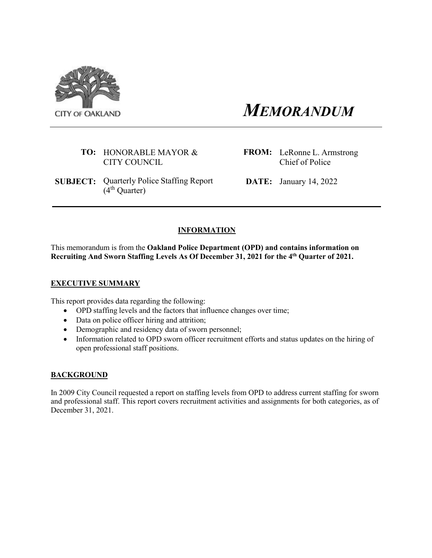

*MEMORANDUM*

### **TO:** HONORABLE MAYOR & CITY COUNCIL

**SUBJECT:** Quarterly Police Staffing Report  $(4<sup>th</sup>$  Quarter)

**FROM:** LeRonne L. Armstrong Chief of Police

**DATE:** January 14, 2022

# **INFORMATION**

This memorandum is from the **Oakland Police Department (OPD) and contains information on Recruiting And Sworn Staffing Levels As Of December 31, 2021 for the 4th Quarter of 2021.** 

# **EXECUTIVE SUMMARY**

This report provides data regarding the following:

- OPD staffing levels and the factors that influence changes over time;
- Data on police officer hiring and attrition;
- Demographic and residency data of sworn personnel;
- Information related to OPD sworn officer recruitment efforts and status updates on the hiring of open professional staff positions.

# **BACKGROUND**

In 2009 City Council requested a report on staffing levels from OPD to address current staffing for sworn and professional staff. This report covers recruitment activities and assignments for both categories, as of December 31, 2021.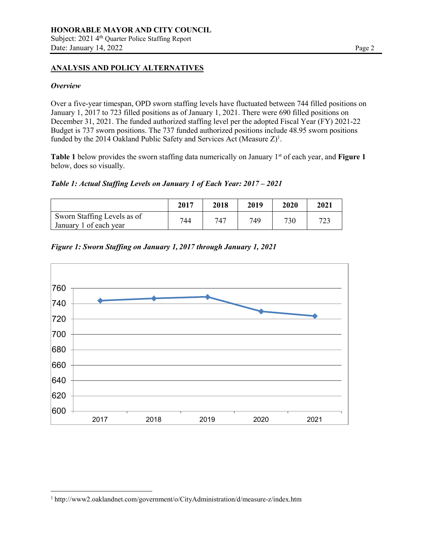## **ANALYSIS AND POLICY ALTERNATIVES**

#### *Overview*

Over a five-year timespan, OPD sworn staffing levels have fluctuated between 744 filled positions on January 1, 2017 to 723 filled positions as of January 1, 2021. There were 690 filled positions on December 31, 2021. The funded authorized staffing level per the adopted Fiscal Year (FY) 2021-22 Budget is 737 sworn positions. The 737 funded authorized positions include 48.95 sworn positions funded by the 2014 Oakland Public Safety and Services Act (Measure  $Z$ )<sup>1</sup>.

**Table 1** below provides the sworn staffing data numerically on January 1<sup>st</sup> of each year, and **Figure 1** below, does so visually.

*Table 1: Actual Staffing Levels on January 1 of Each Year: 2017 – 2021*

|                                                       | 2017 | 2018 | 2019 | 2020 | 2021 |
|-------------------------------------------------------|------|------|------|------|------|
| Sworn Staffing Levels as of<br>January 1 of each year | 744  | 747  | 749  | 730  | 723  |





<sup>1</sup> <http://www2.oaklandnet.com/government/o/CityAdministration/d/measure-z/index.htm>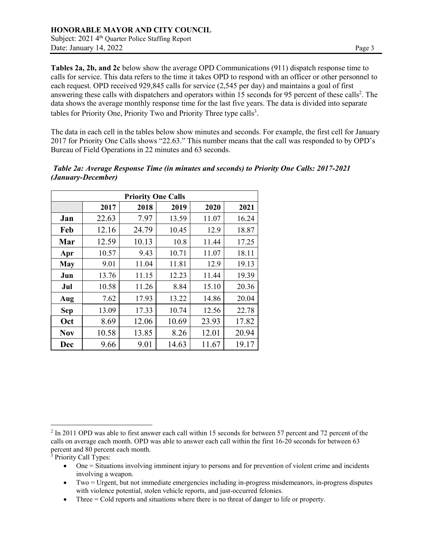**Tables 2a, 2b, and 2c** below show the average OPD Communications (911) dispatch response time to calls for service. This data refers to the time it takes OPD to respond with an officer or other personnel to each request. OPD received 929,845 calls for service (2,545 per day) and maintains a goal of first answering these calls with dispatchers and operators within 15 seconds for 95 percent of these calls<sup>2</sup>. The data shows the average monthly response time for the last five years. The data is divided into separate tables for Priority One, Priority Two and Priority Three type calls<sup>3</sup>.

The data in each cell in the tables below show minutes and seconds. For example, the first cell for January 2017 for Priority One Calls shows "22.63." This number means that the call was responded to by OPD's Bureau of Field Operations in 22 minutes and 63 seconds.

|            |       | <b>Priority One Calls</b> |       |       |       |
|------------|-------|---------------------------|-------|-------|-------|
|            | 2017  | 2018                      | 2019  | 2020  | 2021  |
| Jan        | 22.63 | 7.97                      | 13.59 | 11.07 | 16.24 |
| Feb        | 12.16 | 24.79                     | 10.45 | 12.9  | 18.87 |
| Mar        | 12.59 | 10.13                     | 10.8  | 11.44 | 17.25 |
| Apr        | 10.57 | 9.43                      | 10.71 | 11.07 | 18.11 |
| May        | 9.01  | 11.04                     | 11.81 | 12.9  | 19.13 |
| Jun        | 13.76 | 11.15                     | 12.23 | 11.44 | 19.39 |
| Jul        | 10.58 | 11.26                     | 8.84  | 15.10 | 20.36 |
| Aug        | 7.62  | 17.93                     | 13.22 | 14.86 | 20.04 |
| <b>Sep</b> | 13.09 | 17.33                     | 10.74 | 12.56 | 22.78 |
| Oct        | 8.69  | 12.06                     | 10.69 | 23.93 | 17.82 |
| <b>Nov</b> | 10.58 | 13.85                     | 8.26  | 12.01 | 20.94 |
| Dec        | 9.66  | 9.01                      | 14.63 | 11.67 | 19.17 |

*Table 2a: Average Response Time (in minutes and seconds) to Priority One Calls: 2017-2021 (January-December)*

<sup>&</sup>lt;sup>2</sup> In 2011 OPD was able to first answer each call within 15 seconds for between 57 percent and 72 percent of the calls on average each month. OPD was able to answer each call within the first 16-20 seconds for between 63 percent and 80 percent each month.

<sup>&</sup>lt;sup>3</sup> Priority Call Types:

<sup>•</sup> One = Situations involving imminent injury to persons and for prevention of violent crime and incidents involving a weapon.

<sup>•</sup> Two = Urgent, but not immediate emergencies including in-progress misdemeanors, in-progress disputes with violence potential, stolen vehicle reports, and just-occurred felonies.

<sup>•</sup> Three  $=$  Cold reports and situations where there is no threat of danger to life or property.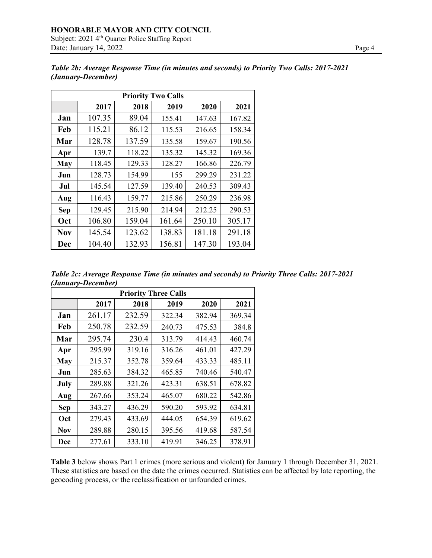|            | <b>Priority Two Calls</b> |        |        |        |        |  |  |  |  |  |  |  |
|------------|---------------------------|--------|--------|--------|--------|--|--|--|--|--|--|--|
|            | 2017                      | 2018   | 2019   | 2020   | 2021   |  |  |  |  |  |  |  |
| Jan        | 107.35                    | 89.04  | 155.41 | 147.63 | 167.82 |  |  |  |  |  |  |  |
| Feb        | 115.21                    | 86.12  | 115.53 | 216.65 | 158.34 |  |  |  |  |  |  |  |
| Mar        | 128.78                    | 137.59 | 135.58 | 159.67 | 190.56 |  |  |  |  |  |  |  |
| Apr        | 139.7                     | 118.22 | 135.32 | 145.32 | 169.36 |  |  |  |  |  |  |  |
| <b>May</b> | 118.45                    | 129.33 | 128.27 | 166.86 | 226.79 |  |  |  |  |  |  |  |
| Jun        | 128.73                    | 154.99 | 155    | 299.29 | 231.22 |  |  |  |  |  |  |  |
| Jul        | 145.54                    | 127.59 | 139.40 | 240.53 | 309.43 |  |  |  |  |  |  |  |
| Aug        | 116.43                    | 159.77 | 215.86 | 250.29 | 236.98 |  |  |  |  |  |  |  |
| <b>Sep</b> | 129.45                    | 215.90 | 214.94 | 212.25 | 290.53 |  |  |  |  |  |  |  |
| Oct        | 106.80                    | 159.04 | 161.64 | 250.10 | 305.17 |  |  |  |  |  |  |  |
| <b>Nov</b> | 145.54                    | 123.62 | 138.83 | 181.18 | 291.18 |  |  |  |  |  |  |  |
| Dec        | 104.40                    | 132.93 | 156.81 | 147.30 | 193.04 |  |  |  |  |  |  |  |

*Table 2b: Average Response Time (in minutes and seconds) to Priority Two Calls: 2017-2021 (January-December)*

| Table 2c: Average Response Time (in minutes and seconds) to Priority Three Calls: 2017-2021 |  |  |  |
|---------------------------------------------------------------------------------------------|--|--|--|
| (January-December)                                                                          |  |  |  |

| <b>Priority Three Calls</b> |        |        |        |        |        |  |  |  |  |  |  |
|-----------------------------|--------|--------|--------|--------|--------|--|--|--|--|--|--|
|                             | 2017   | 2018   | 2019   | 2020   | 2021   |  |  |  |  |  |  |
| Jan                         | 261.17 | 232.59 | 322.34 | 382.94 | 369.34 |  |  |  |  |  |  |
| Feb                         | 250.78 | 232.59 | 240.73 | 475.53 | 384.8  |  |  |  |  |  |  |
| Mar                         | 295.74 | 230.4  | 313.79 | 414.43 | 460.74 |  |  |  |  |  |  |
| Apr                         | 295.99 | 319.16 | 316.26 | 461.01 | 427.29 |  |  |  |  |  |  |
| <b>May</b>                  | 215.37 | 352.78 | 359.64 | 433.33 | 485.11 |  |  |  |  |  |  |
| Jun                         | 285.63 | 384.32 | 465.85 | 740.46 | 540.47 |  |  |  |  |  |  |
| July                        | 289.88 | 321.26 | 423.31 | 638.51 | 678.82 |  |  |  |  |  |  |
| Aug                         | 267.66 | 353.24 | 465.07 | 680.22 | 542.86 |  |  |  |  |  |  |
| <b>Sep</b>                  | 343.27 | 436.29 | 590.20 | 593.92 | 634.81 |  |  |  |  |  |  |
| Oct                         | 279.43 | 433.69 | 444.05 | 654.39 | 619.62 |  |  |  |  |  |  |
| Nov                         | 289.88 | 280.15 | 395.56 | 419.68 | 587.54 |  |  |  |  |  |  |
| Dec                         | 277.61 | 333.10 | 419.91 | 346.25 | 378.91 |  |  |  |  |  |  |

**Table 3** below shows Part 1 crimes (more serious and violent) for January 1 through December 31, 2021. These statistics are based on the date the crimes occurred. Statistics can be affected by late reporting, the geocoding process, or the reclassification or unfounded crimes.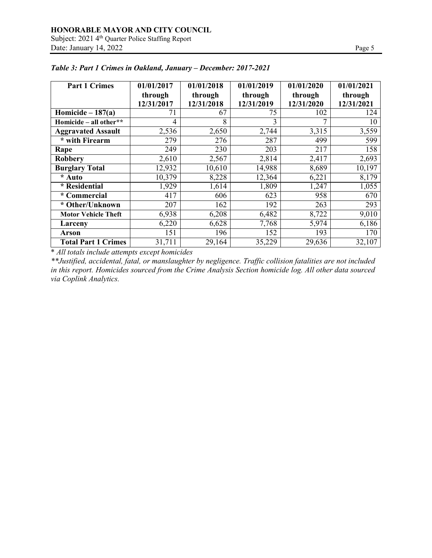| <b>Part 1 Crimes</b>       | 01/01/2017 | 01/01/2018 | 01/01/2019 | 01/01/2020 | 01/01/2021 |
|----------------------------|------------|------------|------------|------------|------------|
|                            | through    | through    | through    | through    | through    |
|                            | 12/31/2017 | 12/31/2018 | 12/31/2019 | 12/31/2020 | 12/31/2021 |
| Homicide $-187(a)$         | 71         | 67         | 75         | 102        | 124        |
| Homicide - all other**     | 4          | 8          | 3          | 7          | 10         |
| <b>Aggravated Assault</b>  | 2,536      | 2,650      | 2,744      | 3,315      | 3,559      |
| * with Firearm             | 279        | 276        | 287        | 499        | 599        |
| Rape                       | 249        | 230        | 203        | 217        | 158        |
| <b>Robbery</b>             | 2,610      | 2,567      | 2,814      | 2,417      | 2,693      |
| <b>Burglary Total</b>      | 12,932     | 10,610     | 14,988     | 8,689      | 10,197     |
| * Auto                     | 10,379     | 8,228      | 12,364     | 6,221      | 8,179      |
| * Residential              | 1,929      | 1,614      | 1,809      | 1,247      | 1,055      |
| * Commercial               | 417        | 606        | 623        | 958        | 670        |
| * Other/Unknown            | 207        | 162        | 192        | 263        | 293        |
| <b>Motor Vehicle Theft</b> | 6,938      | 6,208      | 6,482      | 8,722      | 9,010      |
| Larceny                    | 6,220      | 6,628      | 7,768      | 5,974      | 6,186      |
| Arson                      | 151        | 196        | 152        | 193        | 170        |
| <b>Total Part 1 Crimes</b> | 31,711     | 29,164     | 35,229     | 29,636     | 32,107     |

# *Table 3: Part 1 Crimes in Oakland, January – December: 2017-2021*

\* *All totals include attempts except homicides*

*\*\*Justified, accidental, fatal, or manslaughter by negligence. Traffic collision fatalities are not included in this report. Homicides sourced from the Crime Analysis Section homicide log. All other data sourced via Coplink Analytics.*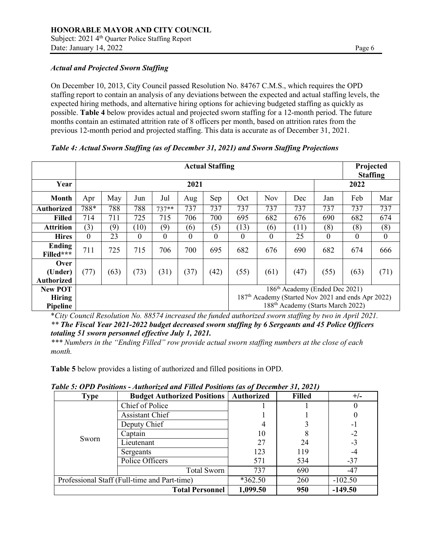### *Actual and Projected Sworn Staffing*

On December 10, 2013, City Council passed Resolution No. 84767 C.M.S., which requires the OPD staffing report to contain an analysis of any deviations between the expected and actual staffing levels, the expected hiring methods, and alternative hiring options for achieving budgeted staffing as quickly as possible. **Table 4** below provides actual and projected sworn staffing for a 12-month period. The future months contain an estimated attrition rate of 8 officers per month, based on attrition rates from the previous 12-month period and projected staffing. This data is accurate as of December 31, 2021.

#### *Table 4: Actual Sworn Staffing (as of December 31, 2021) and Sworn Staffing Projections*

|                                             |          | <b>Actual Staffing</b> |          |         |          |      |          |              |      |                                                                                                                                                               |          | Projected<br><b>Staffing</b> |  |
|---------------------------------------------|----------|------------------------|----------|---------|----------|------|----------|--------------|------|---------------------------------------------------------------------------------------------------------------------------------------------------------------|----------|------------------------------|--|
| Year                                        |          | 2021                   |          |         |          |      |          |              |      |                                                                                                                                                               | 2022     |                              |  |
| Month                                       | Apr      | May                    | Jun      | Jul     | Aug      | Sep  | Oct      | Nov          | Dec  | Jan                                                                                                                                                           | Feb      | Mar                          |  |
| <b>Authorized</b>                           | 788*     | 788                    | 788      | $737**$ | 737      | 737  | 737      | 737          | 737  | 737                                                                                                                                                           | 737      | 737                          |  |
| <b>Filled</b>                               | 714      | 711                    | 725      | 715     | 706      | 700  | 695      | 682          | 676  | 690                                                                                                                                                           | 682      | 674                          |  |
| <b>Attrition</b>                            | (3)      | (9)                    | (10)     | (9)     | (6)      | (5)  | (13)     | (6)          | (11) | (8)                                                                                                                                                           | (8)      | (8)                          |  |
| <b>Hires</b>                                | $\Omega$ | 23                     | $\theta$ | 0       | $\Omega$ | 0    | $\theta$ | $\mathbf{0}$ | 25   | $\Omega$                                                                                                                                                      | $\theta$ | $\mathbf{0}$                 |  |
| Ending<br>Filled***                         | 711      | 725                    | 715      | 706     | 700      | 695  | 682      | 676          | 690  | 682                                                                                                                                                           | 674      | 666                          |  |
| <b>Over</b><br>(Under)<br><b>Authorized</b> | (77)     | (63)                   | (73)     | (31)    | (37)     | (42) | (55)     | (61)         | (47) | (55)                                                                                                                                                          | (63)     | (71)                         |  |
| <b>New POT</b><br><b>Hiring</b><br>Pipeline |          |                        |          |         |          |      |          |              |      | 186 <sup>th</sup> Academy (Ended Dec 2021)<br>187 <sup>th</sup> Academy (Started Nov 2021 and ends Apr 2022)<br>188 <sup>th</sup> Academy (Starts March 2022) |          |                              |  |

\**City Council Resolution No. 88574 increased the funded authorized sworn staffing by two in April 2021. \*\* The Fiscal Year 2021-2022 budget decreased sworn staffing by 6 Sergeants and 45 Police Officers totaling 51 sworn personnel effective July 1, 2021.*

*\*\*\* Numbers in the "Ending Filled" row provide actual sworn staffing numbers at the close of each month.*

**Table 5** below provides a listing of authorized and filled positions in OPD.

| <b>Type</b> | <b>Budget Authorized Positions   Authorized</b> |           | <b>Filled</b> | $+/-$     |
|-------------|-------------------------------------------------|-----------|---------------|-----------|
|             | Chief of Police                                 |           |               |           |
|             | Assistant Chief                                 |           |               |           |
|             | Deputy Chief                                    |           |               | $-1$      |
|             | Captain                                         | 10        |               | $-2$      |
| Sworn       | Lieutenant                                      | 27        | 24            | $-3$      |
|             | Sergeants                                       | 123       | 119           |           |
|             | Police Officers                                 | 571       | 534           | $-37$     |
|             | Total Sworn                                     | 737       | 690           | $-47$     |
|             | Professional Staff (Full-time and Part-time)    | $*362.50$ | 260           | $-102.50$ |
|             | <b>Total Personnel</b>                          | 1,099.50  | 950           | $-149.50$ |

*Table 5: OPD Positions - Authorized and Filled Positions (as of December 31, 2021)*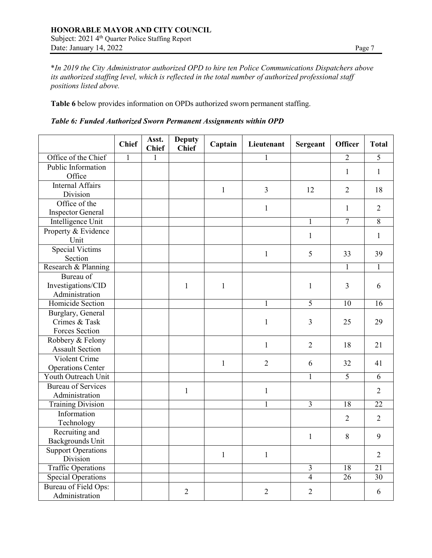\**In 2019 the City Administrator authorized OPD to hire ten Police Communications Dispatchers above its authorized staffing level, which is reflected in the total number of authorized professional staff positions listed above.*

**Table 6** below provides information on OPDs authorized sworn permanent staffing.

|  |  | Table 6: Funded Authorized Sworn Permanent Assignments within OPD |  |  |  |  |  |
|--|--|-------------------------------------------------------------------|--|--|--|--|--|
|--|--|-------------------------------------------------------------------|--|--|--|--|--|

|                           | <b>Chief</b> | Asst.<br><b>Chief</b> | <b>Deputy</b><br><b>Chief</b> | Captain      | Lieutenant     | Sergeant       | <b>Officer</b>  | <b>Total</b>    |
|---------------------------|--------------|-----------------------|-------------------------------|--------------|----------------|----------------|-----------------|-----------------|
| Office of the Chief       | 1            | 1                     |                               |              |                |                | $\overline{2}$  | 5               |
| Public Information        |              |                       |                               |              |                |                | 1               | $\mathbf{1}$    |
| Office                    |              |                       |                               |              |                |                |                 |                 |
| <b>Internal Affairs</b>   |              |                       |                               | $\mathbf{1}$ | $\overline{3}$ | 12             | $\overline{2}$  | 18              |
| Division                  |              |                       |                               |              |                |                |                 |                 |
| Office of the             |              |                       |                               |              | $\mathbf{1}$   |                | 1               | $\overline{2}$  |
| <b>Inspector General</b>  |              |                       |                               |              |                |                |                 |                 |
| Intelligence Unit         |              |                       |                               |              |                | $\mathbf{1}$   | $\overline{7}$  | $\overline{8}$  |
| Property & Evidence       |              |                       |                               |              |                | $\mathbf{1}$   |                 | 1               |
| Unit                      |              |                       |                               |              |                |                |                 |                 |
| <b>Special Victims</b>    |              |                       |                               |              | $\mathbf{1}$   | 5              | 33              | 39              |
| Section                   |              |                       |                               |              |                |                |                 |                 |
| Research & Planning       |              |                       |                               |              |                |                | 1               | 1               |
| Bureau of                 |              |                       |                               |              |                |                |                 |                 |
| Investigations/CID        |              |                       | $\mathbf{1}$                  | $\mathbf{1}$ |                | $\mathbf{1}$   | 3               | 6               |
| Administration            |              |                       |                               |              |                |                |                 |                 |
| Homicide Section          |              |                       |                               |              | $\mathbf{1}$   | $\overline{5}$ | 10              | 16              |
| Burglary, General         |              |                       |                               |              |                |                |                 |                 |
| Crimes & Task             |              |                       |                               |              | $\mathbf{1}$   | 3              | 25              | 29              |
| Forces Section            |              |                       |                               |              |                |                |                 |                 |
| Robbery & Felony          |              |                       |                               |              | $\mathbf{1}$   | $\overline{2}$ | 18              | 21              |
| <b>Assault Section</b>    |              |                       |                               |              |                |                |                 |                 |
| Violent Crime             |              |                       |                               | $\mathbf{1}$ | $\overline{2}$ | 6              | 32              | 41              |
| <b>Operations Center</b>  |              |                       |                               |              |                |                |                 |                 |
| Youth Outreach Unit       |              |                       |                               |              |                | $\mathbf{1}$   | $\overline{5}$  | 6               |
| <b>Bureau of Services</b> |              |                       | $\mathbf{1}$                  |              | $\mathbf{1}$   |                |                 | $\overline{2}$  |
| Administration            |              |                       |                               |              |                |                |                 |                 |
| <b>Training Division</b>  |              |                       |                               |              | 1              | $\overline{3}$ | $\overline{18}$ | $\overline{22}$ |
| Information               |              |                       |                               |              |                |                | $\overline{2}$  | $\overline{2}$  |
| Technology                |              |                       |                               |              |                |                |                 |                 |
| Recruiting and            |              |                       |                               |              |                | $\mathbf{1}$   | 8               | 9               |
| Backgrounds Unit          |              |                       |                               |              |                |                |                 |                 |
| <b>Support Operations</b> |              |                       |                               | $\mathbf{1}$ | $\mathbf{1}$   |                |                 | $\overline{2}$  |
| Division                  |              |                       |                               |              |                |                |                 |                 |
| <b>Traffic Operations</b> |              |                       |                               |              |                | $\overline{3}$ | 18              | $\overline{21}$ |
| <b>Special Operations</b> |              |                       |                               |              |                | $\overline{4}$ | $\overline{26}$ | 30              |
| Bureau of Field Ops:      |              |                       | $\overline{2}$                |              | $\overline{2}$ | $\overline{2}$ |                 | 6               |
| Administration            |              |                       |                               |              |                |                |                 |                 |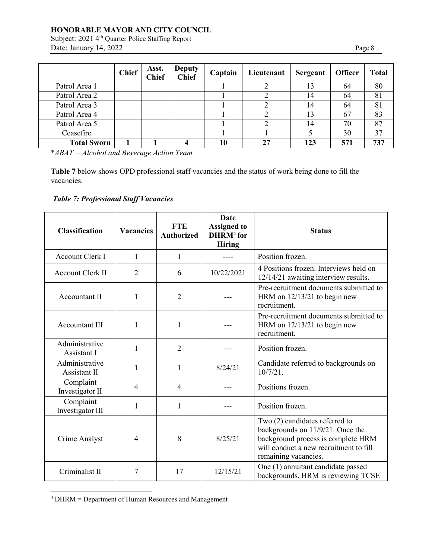Subject: 2021 4<sup>th</sup> Quarter Police Staffing Report Date: January 14, 2022 Page 8

|                    | <b>Chief</b> | Asst.<br><b>Chief</b> | <b>Deputy</b><br><b>Chief</b> | Captain | Lieutenant | <b>Sergeant</b> | <b>Officer</b> | <b>Total</b> |
|--------------------|--------------|-----------------------|-------------------------------|---------|------------|-----------------|----------------|--------------|
| Patrol Area 1      |              |                       |                               |         |            | 13              | 64             | 80           |
| Patrol Area 2      |              |                       |                               |         |            | 14              | 64             | 81           |
| Patrol Area 3      |              |                       |                               |         |            | 14              | 64             | 81           |
| Patrol Area 4      |              |                       |                               |         |            |                 | 67             | 83           |
| Patrol Area 5      |              |                       |                               |         |            | 14              | 70             | 87           |
| Ceasefire          |              |                       |                               |         |            |                 | 30             | 37           |
| <b>Total Sworn</b> |              |                       |                               |         | 27         | 123             | 571            | 737          |

\**ABAT = Alcohol and Beverage Action Team*

**Table 7** below shows OPD professional staff vacancies and the status of work being done to fill the vacancies.

# *Table 7: Professional Staff Vacancies*

| <b>Classification</b>          | <b>Vacancies</b> | <b>FTE</b><br><b>Authorized</b> | Date<br><b>Assigned to</b><br>$DHRM4$ for<br><b>Hiring</b> | <b>Status</b>                                                                                                                                                              |
|--------------------------------|------------------|---------------------------------|------------------------------------------------------------|----------------------------------------------------------------------------------------------------------------------------------------------------------------------------|
| <b>Account Clerk I</b>         | $\mathbf{1}$     | 1                               | ----                                                       | Position frozen.                                                                                                                                                           |
| <b>Account Clerk II</b>        | $\overline{2}$   | 6                               | 10/22/2021                                                 | 4 Positions frozen. Interviews held on<br>12/14/21 awaiting interview results.                                                                                             |
| Accountant II                  | 1                | $\overline{2}$                  |                                                            | Pre-recruitment documents submitted to<br>HRM on 12/13/21 to begin new<br>recruitment.                                                                                     |
| <b>Accountant III</b>          | 1                | 1                               |                                                            | Pre-recruitment documents submitted to<br>HRM on $12/13/21$ to begin new<br>recruitment.                                                                                   |
| Administrative<br>Assistant I  | 1                | $\overline{2}$                  |                                                            | Position frozen.                                                                                                                                                           |
| Administrative<br>Assistant II | 1                | 1                               | 8/24/21                                                    | Candidate referred to backgrounds on<br>10/7/21.                                                                                                                           |
| Complaint<br>Investigator II   | 4                | 4                               |                                                            | Positions frozen.                                                                                                                                                          |
| Complaint<br>Investigator III  | $\mathbf{1}$     | $\mathbf{1}$                    |                                                            | Position frozen.                                                                                                                                                           |
| Crime Analyst                  | 4                | 8                               | 8/25/21                                                    | Two (2) candidates referred to<br>backgrounds on 11/9/21. Once the<br>background process is complete HRM<br>will conduct a new recruitment to fill<br>remaining vacancies. |
| Criminalist II                 | 7                | 17                              | 12/15/21                                                   | One (1) annuitant candidate passed<br>backgrounds, HRM is reviewing TCSE                                                                                                   |

<sup>4</sup> DHRM = Department of Human Resources and Management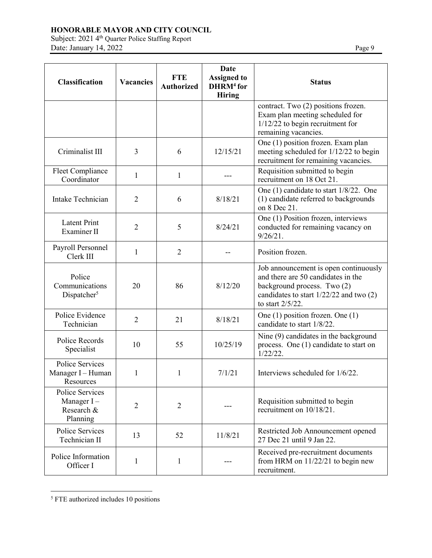Subject: 2021 4<sup>th</sup> Quarter Police Staffing Report Date: January 14, 2022 Page 9

| <b>Classification</b>                                      | <b>Vacancies</b> | <b>FTE</b><br><b>Authorized</b> | Date<br><b>Assigned to</b><br>DHRM <sup>4</sup> for<br><b>Hiring</b> | <b>Status</b>                                                                                                                                                                 |
|------------------------------------------------------------|------------------|---------------------------------|----------------------------------------------------------------------|-------------------------------------------------------------------------------------------------------------------------------------------------------------------------------|
|                                                            |                  |                                 |                                                                      | contract. Two (2) positions frozen.<br>Exam plan meeting scheduled for<br>$1/12/22$ to begin recruitment for<br>remaining vacancies.                                          |
| Criminalist III                                            | 3                | 6                               | 12/15/21                                                             | One (1) position frozen. Exam plan<br>meeting scheduled for 1/12/22 to begin<br>recruitment for remaining vacancies.                                                          |
| Fleet Compliance<br>Coordinator                            | $\mathbf{1}$     | $\mathbf{1}$                    |                                                                      | Requisition submitted to begin<br>recruitment on 18 Oct 21.                                                                                                                   |
| Intake Technician                                          | $\overline{2}$   | 6                               | 8/18/21                                                              | One (1) candidate to start 1/8/22. One<br>(1) candidate referred to backgrounds<br>on 8 Dec 21.                                                                               |
| <b>Latent Print</b><br>Examiner II                         | $\overline{2}$   | 5                               | 8/24/21                                                              | One (1) Position frozen, interviews<br>conducted for remaining vacancy on<br>$9/26/21$ .                                                                                      |
| Payroll Personnel<br>Clerk III                             | 1                | $\overline{2}$                  |                                                                      | Position frozen.                                                                                                                                                              |
| Police<br>Communications<br>Dispatcher <sup>5</sup>        | 20               | 86                              | 8/12/20                                                              | Job announcement is open continuously<br>and there are 50 candidates in the<br>background process. Two (2)<br>candidates to start $1/22/22$ and two $(2)$<br>to start 2/5/22. |
| Police Evidence<br>Technician                              | $\overline{2}$   | 21                              | 8/18/21                                                              | One (1) position frozen. One (1)<br>candidate to start 1/8/22.                                                                                                                |
| Police Records<br>Specialist                               | 10               | 55                              | 10/25/19                                                             | Nine (9) candidates in the background<br>process. One (1) candidate to start on<br>$1/22/22$ .                                                                                |
| Police Services<br>Manager I - Human<br>Resources          | 1                | 1                               | 7/1/21                                                               | Interviews scheduled for 1/6/22.                                                                                                                                              |
| Police Services<br>Manager $I -$<br>Research &<br>Planning | $\overline{2}$   | $\overline{2}$                  |                                                                      | Requisition submitted to begin<br>recruitment on 10/18/21.                                                                                                                    |
| Police Services<br>Technician II                           | 13               | 52                              | 11/8/21                                                              | Restricted Job Announcement opened<br>27 Dec 21 until 9 Jan 22.                                                                                                               |
| Police Information<br>Officer I                            | 1                | 1                               |                                                                      | Received pre-recruitment documents<br>from HRM on $11/22/21$ to begin new<br>recruitment.                                                                                     |

<sup>5</sup> FTE authorized includes 10 positions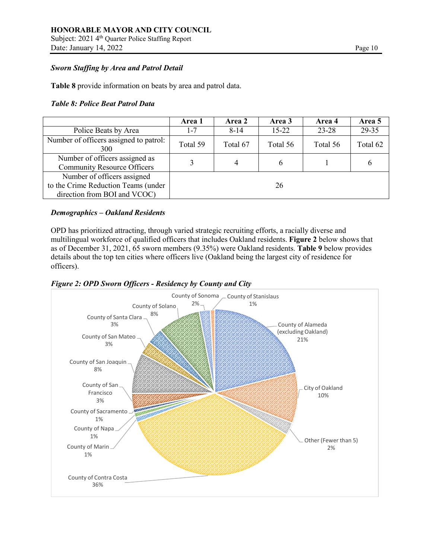Subject: 2021 4<sup>th</sup> Quarter Police Staffing Report Date: January 14, 2022 Page 10

#### *Sworn Staffing by Area and Patrol Detail*

**Table 8** provide information on beats by area and patrol data.

#### *Table 8: Police Beat Patrol Data*

|                                                                                                    | Area 1   | Area 2   | Area 3    | Area 4    | Area 5   |
|----------------------------------------------------------------------------------------------------|----------|----------|-----------|-----------|----------|
| Police Beats by Area                                                                               | $1 - 7$  | $8 - 14$ | $15 - 22$ | $23 - 28$ | 29-35    |
| Number of officers assigned to patrol:<br>300                                                      | Total 59 | Total 67 | Total 56  | Total 56  | Total 62 |
| Number of officers assigned as<br><b>Community Resource Officers</b>                               |          |          |           |           | O        |
| Number of officers assigned<br>to the Crime Reduction Teams (under<br>direction from BOI and VCOC) |          |          | 26        |           |          |

### *Demographics – Oakland Residents*

OPD has prioritized attracting, through varied strategic recruiting efforts, a racially diverse and multilingual workforce of qualified officers that includes Oakland residents. **Figure 2** below shows that as of December 31, 2021, 65 sworn members (9.35%) were Oakland residents. **Table 9** below provides details about the top ten cities where officers live (Oakland being the largest city of residence for officers).



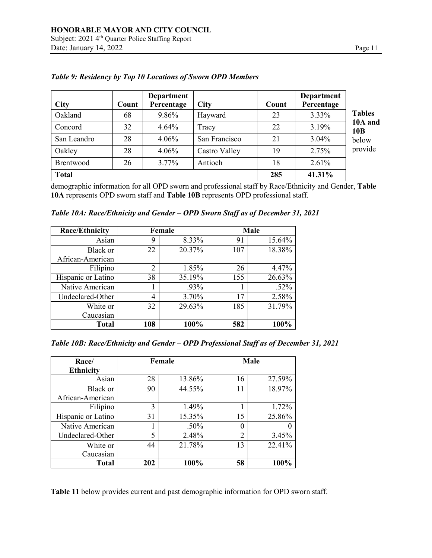| <b>City</b>  | Count | Department<br>Percentage | <b>City</b>   | Count | Department<br>Percentage |                            |
|--------------|-------|--------------------------|---------------|-------|--------------------------|----------------------------|
| Oakland      | 68    | 9.86%                    | Hayward       | 23    | 3.33%                    | <b>Tables</b>              |
| Concord      | 32    | 4.64%                    | Tracy         | 22    | 3.19%                    | 10A and<br>10 <sub>B</sub> |
| San Leandro  | 28    | 4.06%                    | San Francisco | 21    | $3.04\%$                 | below                      |
| Oakley       | 28    | 4.06%                    | Castro Valley | 19    | 2.75%                    | provide                    |
| Brentwood    | 26    | $3.77\%$                 | Antioch       | 18    | 2.61%                    |                            |
| <b>Total</b> |       |                          |               | 285   | 41.31%                   |                            |

### *Table 9: Residency by Top 10 Locations of Sworn OPD Members*

demographic information for all OPD sworn and professional staff by Race/Ethnicity and Gender, **Table 10A** represents OPD sworn staff and **Table 10B** represents OPD professional staff.

| Table 10A: Race/Ethnicity and Gender - OPD Sworn Staff as of December 31, 2021 |  |  |  |
|--------------------------------------------------------------------------------|--|--|--|
|--------------------------------------------------------------------------------|--|--|--|

| <b>Race/Ethnicity</b> | Female         |        |     | Male    |
|-----------------------|----------------|--------|-----|---------|
| Asian                 | 9              | 8.33%  | 91  | 15.64%  |
| Black or              | 22             | 20.37% | 107 | 18.38%  |
| African-American      |                |        |     |         |
| Filipino              | $\overline{2}$ | 1.85%  | 26  | 4.47%   |
| Hispanic or Latino    | 38             | 35.19% | 155 | 26.63%  |
| Native American       |                | .93%   |     | $.52\%$ |
| Undeclared-Other      | 4              | 3.70%  | 17  | 2.58%   |
| White or              | 32             | 29.63% | 185 | 31.79%  |
| Caucasian             |                |        |     |         |
| <b>Total</b>          | 108            | 100%   | 582 | 100%    |

*Table 10B: Race/Ethnicity and Gender – OPD Professional Staff as of December 31, 2021*

| Race/              | Female |         |          | Male   |
|--------------------|--------|---------|----------|--------|
| <b>Ethnicity</b>   |        |         |          |        |
| Asian              | 28     | 13.86%  | 16       | 27.59% |
| Black or           | 90     | 44.55%  | 11       | 18.97% |
| African-American   |        |         |          |        |
| Filipino           | 3      | 1.49%   |          | 1.72%  |
| Hispanic or Latino | 31     | 15.35%  | 15       | 25.86% |
| Native American    |        | $.50\%$ | $\theta$ |        |
| Undeclared-Other   | 5      | 2.48%   | 2        | 3.45%  |
| White or           | 44     | 21.78%  | 13       | 22.41% |
| Caucasian          |        |         |          |        |
| <b>Total</b>       | 202    | 100%    | 58       | 100%   |

**Table 11** below provides current and past demographic information for OPD sworn staff.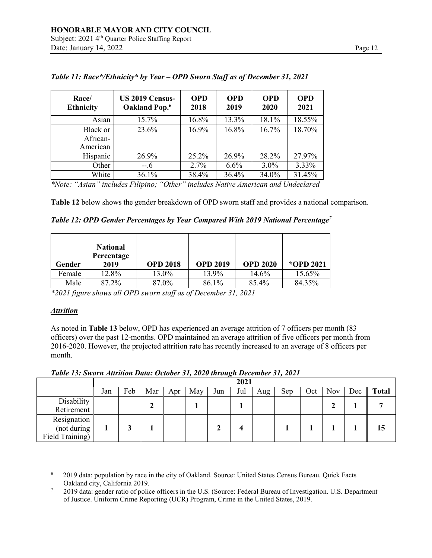| Race/<br><b>Ethnicity</b>        | US 2019 Census-<br>Oakland Pop. <sup>6</sup> | <b>OPD</b><br>2018 | <b>OPD</b><br>2019 | <b>OPD</b><br>2020 | <b>OPD</b><br>2021 |
|----------------------------------|----------------------------------------------|--------------------|--------------------|--------------------|--------------------|
| Asian                            | 15.7%                                        | 16.8%              | 13.3%              | 18.1%              | 18.55%             |
| Black or<br>African-<br>American | 23.6%                                        | 16.9%              | 16.8%              | 16.7%              | 18.70%             |
| Hispanic                         | 26.9%                                        | 25.2%              | 26.9%              | 28.2%              | 27.97%             |
| Other                            | $-.6$                                        | 2.7%               | 6.6%               | $3.0\%$            | 3.33%              |
| White                            | 36.1%                                        | 38.4%              | 36.4%              | 34.0%              | 31.45%             |

*Table 11: Race\*/Ethnicity\* by Year – OPD Sworn Staff as of December 31, 2021*

*\*Note: "Asian" includes Filipino; "Other" includes Native American and Undeclared*

**Table 12** below shows the gender breakdown of OPD sworn staff and provides a national comparison.

*Table 12: OPD Gender Percentages by Year Compared With 2019 National Percentage<sup>7</sup>*

| Gender | <b>National</b><br>Percentage<br>2019 | <b>OPD 2018</b> | <b>OPD 2019</b> | <b>OPD 2020</b> | *OPD 2021 |
|--------|---------------------------------------|-----------------|-----------------|-----------------|-----------|
| Female | 12.8%                                 | 13.0%           | 13.9%           | 14.6%           | 15.65%    |
| Male   | 87.2%                                 | 87.0%           | 86.1%           | 85.4%           | 84.35%    |

*\*2021 figure shows all OPD sworn staff as of December 31, 2021*

#### *Attrition*

As noted in **Table 13** below, OPD has experienced an average attrition of 7 officers per month (83 officers) over the past 12-months. OPD maintained an average attrition of five officers per month from 2016-2020. However, the projected attrition rate has recently increased to an average of 8 officers per month.

*Table 13: Sworn Attrition Data: October 31, 2020 through December 31, 2021*

|                 |     | 2021 |     |     |     |     |     |     |     |     |            |     |              |
|-----------------|-----|------|-----|-----|-----|-----|-----|-----|-----|-----|------------|-----|--------------|
|                 | Jan | Feb  | Mar | Apr | May | Jun | Jul | Aug | Sep | Oct | <b>Nov</b> | Dec | <b>Total</b> |
| Disability      |     |      |     |     |     |     |     |     |     |     |            |     |              |
| Retirement      |     |      | ∸   |     |     |     |     |     |     |     |            |     |              |
| Resignation     |     |      |     |     |     |     |     |     |     |     |            |     |              |
| (not during     |     |      |     |     |     |     |     |     |     |     |            |     | 15           |
| Field Training) |     |      |     |     |     |     |     |     |     |     |            |     |              |

<sup>6</sup> 2019 data: population by race in the city of Oakland. Source: United States Census Bureau. Quick Facts Oakland city, California 2019.

<sup>7</sup> 2019 data: gender ratio of police officers in the U.S. (Source: Federal Bureau of Investigation. U.S. Department of Justice. Uniform Crime Reporting (UCR) Program, Crime in the United States, 2019.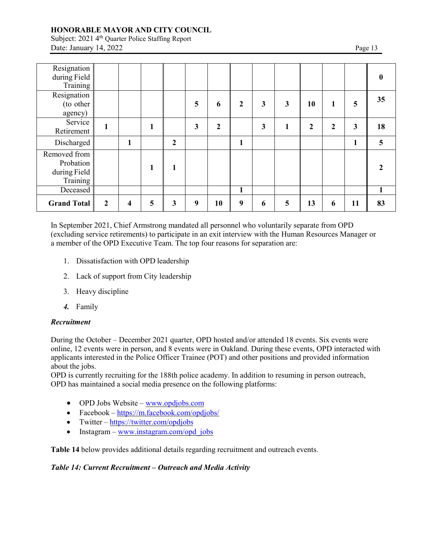Subject: 2021 4<sup>th</sup> Quarter Police Staffing Report Date: January 14, 2022 Page 13

| Resignation<br>during Field<br>Training                       |                  |                         |   |                |   |                  |   |   |   |             |              |    |    |
|---------------------------------------------------------------|------------------|-------------------------|---|----------------|---|------------------|---|---|---|-------------|--------------|----|----|
| Resignation<br>(to other<br>agency)                           |                  |                         |   |                | 5 | 6                | 2 | 3 | 3 | 10          | 1            | 5  | 35 |
| Service<br>Retirement                                         | 1                |                         |   |                | 3 | $\boldsymbol{2}$ |   | 3 | 1 | $\mathbf 2$ | $\mathbf{2}$ | 3  | 18 |
| Discharged                                                    |                  | 1                       |   | $\overline{2}$ |   |                  | 1 |   |   |             |              |    | 5  |
| Removed from<br>Probation<br>during Field $\vert$<br>Training |                  |                         |   | 1              |   |                  |   |   |   |             |              |    |    |
| Deceased                                                      |                  |                         |   |                |   |                  | 1 |   |   |             |              |    |    |
| <b>Grand Total</b>                                            | $\boldsymbol{2}$ | $\overline{\mathbf{4}}$ | 5 | 3              | 9 | 10               | 9 | 6 | 5 | 13          | 6            | 11 | 83 |

In September 2021, Chief Armstrong mandated all personnel who voluntarily separate from OPD (excluding service retirements) to participate in an exit interview with the Human Resources Manager or a member of the OPD Executive Team. The top four reasons for separation are:

- 1. Dissatisfaction with OPD leadership
- 2. Lack of support from City leadership
- 3. Heavy discipline
- *4.* Family

#### *Recruitment*

During the October – December 2021 quarter, OPD hosted and/or attended 18 events. Six events were online, 12 events were in person, and 8 events were in Oakland. During these events, OPD interacted with applicants interested in the Police Officer Trainee (POT) and other positions and provided information about the jobs.

OPD is currently recruiting for the 188th police academy. In addition to resuming in person outreach, OPD has maintained a social media presence on the following platforms:

- OPD Jobs Website  $www.$ opdjobs.com
- Facebook <https://m.facebook.com/opdjobs/>
- Twitter <https://twitter.com/opdjobs>
- Instagram [www.instagram.com/opd\\_jobs](http://www.instagram.com/opd_jobs)

**Table 14** below provides additional details regarding recruitment and outreach events.

#### *Table 14: Current Recruitment – Outreach and Media Activity*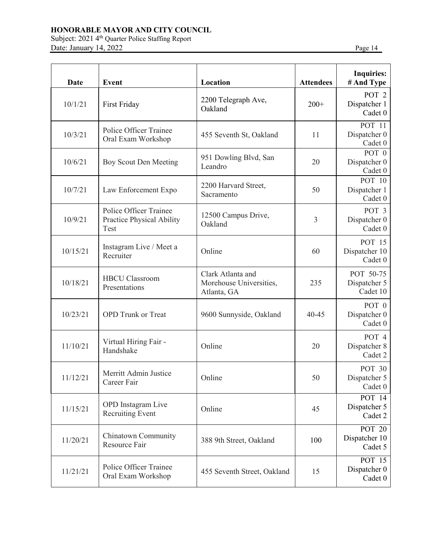Subject: 2021 4<sup>th</sup> Quarter Police Staffing Report Date: January 14, 2022 Page 14

| <b>Date</b> | <b>Event</b>                                                | Location                                                    | <b>Attendees</b> | <b>Inquiries:</b><br># And Type             |
|-------------|-------------------------------------------------------------|-------------------------------------------------------------|------------------|---------------------------------------------|
| 10/1/21     | First Friday                                                | 2200 Telegraph Ave,<br>Oakland                              | $200+$           | POT <sub>2</sub><br>Dispatcher 1<br>Cadet 0 |
| 10/3/21     | <b>Police Officer Trainee</b><br>Oral Exam Workshop         | 455 Seventh St, Oakland                                     | 11               | <b>POT 11</b><br>Dispatcher 0<br>Cadet 0    |
| 10/6/21     | Boy Scout Den Meeting                                       | 951 Dowling Blvd, San<br>Leandro                            | 20               | POT $0$<br>Dispatcher 0<br>Cadet 0          |
| 10/7/21     | Law Enforcement Expo                                        | 2200 Harvard Street,<br>Sacramento                          | 50               | POT 10<br>Dispatcher 1<br>Cadet 0           |
| 10/9/21     | Police Officer Trainee<br>Practice Physical Ability<br>Test | 12500 Campus Drive,<br>Oakland                              | 3                | POT <sub>3</sub><br>Dispatcher 0<br>Cadet 0 |
| 10/15/21    | Instagram Live / Meet a<br>Recruiter                        | Online                                                      | 60               | POT 15<br>Dispatcher 10<br>Cadet 0          |
| 10/18/21    | <b>HBCU Classroom</b><br>Presentations                      | Clark Atlanta and<br>Morehouse Universities,<br>Atlanta, GA | 235              | POT 50-75<br>Dispatcher 5<br>Cadet 10       |
| 10/23/21    | <b>OPD</b> Trunk or Treat                                   | 9600 Sunnyside, Oakland                                     | $40 - 45$        | POT 0<br>Dispatcher 0<br>Cadet 0            |
| 11/10/21    | Virtual Hiring Fair -<br>Handshake                          | Online                                                      | 20               | POT 4<br>Dispatcher 8<br>Cadet 2            |
| 11/12/21    | Merritt Admin Justice<br>Career Fair                        | Online                                                      | 50               | <b>POT 30</b><br>Dispatcher 5<br>Cadet 0    |
| 11/15/21    | <b>OPD</b> Instagram Live<br><b>Recruiting Event</b>        | Online                                                      | 45               | POT 14<br>Dispatcher 5<br>Cadet 2           |
| 11/20/21    | Chinatown Community<br>Resource Fair                        | 388 9th Street, Oakland                                     | 100              | <b>POT 20</b><br>Dispatcher 10<br>Cadet 5   |
| 11/21/21    | <b>Police Officer Trainee</b><br>Oral Exam Workshop         | 455 Seventh Street, Oakland                                 | 15               | POT 15<br>Dispatcher 0<br>Cadet 0           |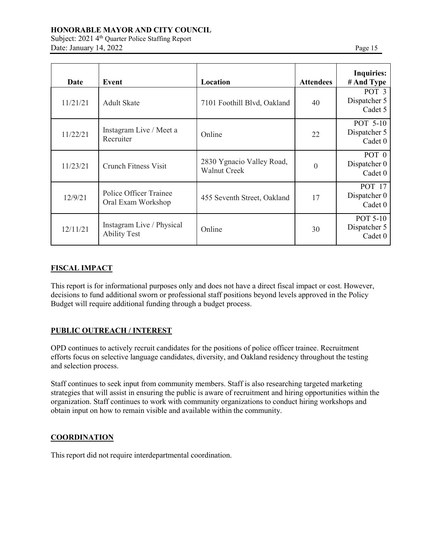Subject: 2021 4<sup>th</sup> Quarter Police Staffing Report Date: January 14, 2022 Page 15

| Date     | Event                                            | Location                                         | <b>Attendees</b> | <b>Inquiries:</b><br># And Type             |
|----------|--------------------------------------------------|--------------------------------------------------|------------------|---------------------------------------------|
| 11/21/21 | <b>Adult Skate</b>                               | 7101 Foothill Blvd, Oakland                      | 40               | POT <sub>3</sub><br>Dispatcher 5<br>Cadet 5 |
| 11/22/21 | Instagram Live / Meet a<br>Recruiter             | Online                                           | 22               | POT 5-10<br>Dispatcher 5<br>Cadet 0         |
| 11/23/21 | <b>Crunch Fitness Visit</b>                      | 2830 Ygnacio Valley Road,<br><b>Walnut Creek</b> | $\mathbf{0}$     | POT <sub>0</sub><br>Dispatcher 0<br>Cadet 0 |
| 12/9/21  | Police Officer Trainee<br>Oral Exam Workshop     | 455 Seventh Street, Oakland                      | 17               | <b>POT</b> 17<br>Dispatcher 0<br>Cadet 0    |
| 12/11/21 | Instagram Live / Physical<br><b>Ability Test</b> | Online                                           | 30               | POT 5-10<br>Dispatcher 5<br>Cadet 0         |

### **FISCAL IMPACT**

This report is for informational purposes only and does not have a direct fiscal impact or cost. However, decisions to fund additional sworn or professional staff positions beyond levels approved in the Policy Budget will require additional funding through a budget process.

#### **PUBLIC OUTREACH / INTEREST**

OPD continues to actively recruit candidates for the positions of police officer trainee. Recruitment efforts focus on selective language candidates, diversity, and Oakland residency throughout the testing and selection process.

Staff continues to seek input from community members. Staff is also researching targeted marketing strategies that will assist in ensuring the public is aware of recruitment and hiring opportunities within the organization. Staff continues to work with community organizations to conduct hiring workshops and obtain input on how to remain visible and available within the community.

#### **COORDINATION**

This report did not require interdepartmental coordination.